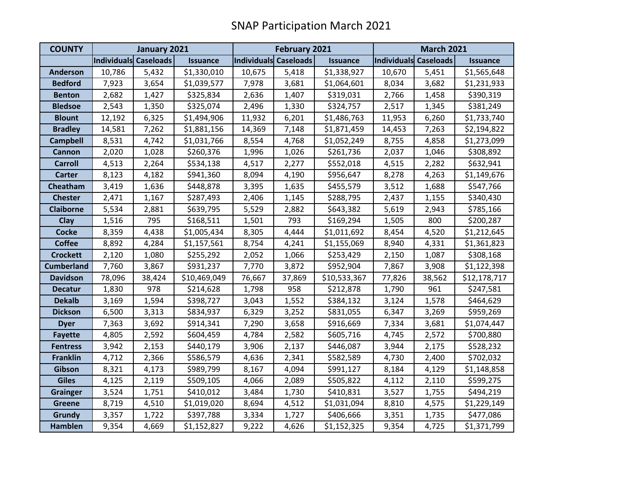| <b>COUNTY</b>     | January 2021          |        |                 | <b>February 2021</b>  |        |                 | <b>March 2021</b>     |        |                 |
|-------------------|-----------------------|--------|-----------------|-----------------------|--------|-----------------|-----------------------|--------|-----------------|
|                   | Individuals Caseloads |        | <b>Issuance</b> | Individuals Caseloads |        | <b>Issuance</b> | Individuals Caseloads |        | <b>Issuance</b> |
| <b>Anderson</b>   | 10,786                | 5,432  | \$1,330,010     | 10,675                | 5,418  | \$1,338,927     | 10,670                | 5,451  | \$1,565,648     |
| <b>Bedford</b>    | 7,923                 | 3,654  | \$1,039,577     | 7,978                 | 3,681  | \$1,064,601     | 8,034                 | 3,682  | \$1,231,933     |
| <b>Benton</b>     | 2,682                 | 1,427  | \$325,834       | 2,636                 | 1,407  | \$319,031       | 2,766                 | 1,458  | \$390,319       |
| <b>Bledsoe</b>    | 2,543                 | 1,350  | \$325,074       | 2,496                 | 1,330  | \$324,757       | 2,517                 | 1,345  | \$381,249       |
| <b>Blount</b>     | 12,192                | 6,325  | \$1,494,906     | 11,932                | 6,201  | \$1,486,763     | 11,953                | 6,260  | \$1,733,740     |
| <b>Bradley</b>    | 14,581                | 7,262  | \$1,881,156     | 14,369                | 7,148  | \$1,871,459     | 14,453                | 7,263  | \$2,194,822     |
| <b>Campbell</b>   | 8,531                 | 4,742  | \$1,031,766     | 8,554                 | 4,768  | \$1,052,249     | 8,755                 | 4,858  | \$1,273,099     |
| <b>Cannon</b>     | 2,020                 | 1,028  | \$260,376       | 1,996                 | 1,026  | \$261,736       | 2,037                 | 1,046  | \$308,892       |
| <b>Carroll</b>    | 4,513                 | 2,264  | \$534,138       | 4,517                 | 2,277  | \$552,018       | 4,515                 | 2,282  | \$632,941       |
| <b>Carter</b>     | 8,123                 | 4,182  | \$941,360       | 8,094                 | 4,190  | \$956,647       | 8,278                 | 4,263  | \$1,149,676     |
| Cheatham          | 3,419                 | 1,636  | \$448,878       | 3,395                 | 1,635  | \$455,579       | 3,512                 | 1,688  | \$547,766       |
| <b>Chester</b>    | 2,471                 | 1,167  | \$287,493       | 2,406                 | 1,145  | \$288,795       | 2,437                 | 1,155  | \$340,430       |
| <b>Claiborne</b>  | 5,534                 | 2,881  | \$639,795       | 5,529                 | 2,882  | \$643,382       | 5,619                 | 2,943  | \$785,166       |
| Clay              | 1,516                 | 795    | \$168,511       | 1,501                 | 793    | \$169,294       | 1,505                 | 800    | \$200,287       |
| <b>Cocke</b>      | 8,359                 | 4,438  | \$1,005,434     | 8,305                 | 4,444  | \$1,011,692     | 8,454                 | 4,520  | \$1,212,645     |
| <b>Coffee</b>     | 8,892                 | 4,284  | \$1,157,561     | 8,754                 | 4,241  | \$1,155,069     | 8,940                 | 4,331  | \$1,361,823     |
| <b>Crockett</b>   | 2,120                 | 1,080  | \$255,292       | 2,052                 | 1,066  | \$253,429       | 2,150                 | 1,087  | \$308,168       |
| <b>Cumberland</b> | 7,760                 | 3,867  | \$931,237       | 7,770                 | 3,872  | \$952,904       | 7,867                 | 3,908  | \$1,122,398     |
| <b>Davidson</b>   | 78,096                | 38,424 | \$10,469,049    | 76,667                | 37,869 | \$10,533,367    | 77,826                | 38,562 | \$12,178,717    |
| <b>Decatur</b>    | 1,830                 | 978    | \$214,628       | 1,798                 | 958    | \$212,878       | 1,790                 | 961    | \$247,581       |
| <b>Dekalb</b>     | 3,169                 | 1,594  | \$398,727       | 3,043                 | 1,552  | \$384,132       | 3,124                 | 1,578  | \$464,629       |
| <b>Dickson</b>    | 6,500                 | 3,313  | \$834,937       | 6,329                 | 3,252  | \$831,055       | 6,347                 | 3,269  | \$959,269       |
| <b>Dyer</b>       | 7,363                 | 3,692  | \$914,341       | 7,290                 | 3,658  | \$916,669       | 7,334                 | 3,681  | \$1,074,447     |
| <b>Fayette</b>    | 4,805                 | 2,592  | \$604,459       | 4,784                 | 2,582  | \$605,716       | 4,745                 | 2,572  | \$700,880       |
| <b>Fentress</b>   | 3,942                 | 2,153  | \$440,179       | 3,906                 | 2,137  | \$446,087       | 3,944                 | 2,175  | \$528,232       |
| <b>Franklin</b>   | 4,712                 | 2,366  | \$586,579       | 4,636                 | 2,341  | \$582,589       | 4,730                 | 2,400  | \$702,032       |
| Gibson            | 8,321                 | 4,173  | \$989,799       | 8,167                 | 4,094  | \$991,127       | 8,184                 | 4,129  | \$1,148,858     |
| <b>Giles</b>      | 4,125                 | 2,119  | \$509,105       | 4,066                 | 2,089  | \$505,822       | 4,112                 | 2,110  | \$599,275       |
| <b>Grainger</b>   | 3,524                 | 1,751  | \$410,012       | 3,484                 | 1,730  | \$410,831       | 3,527                 | 1,755  | \$494,219       |
| <b>Greene</b>     | 8,719                 | 4,510  | \$1,019,020     | 8,694                 | 4,512  | \$1,031,094     | 8,810                 | 4,575  | \$1,229,149     |
| <b>Grundy</b>     | 3,357                 | 1,722  | \$397,788       | 3,334                 | 1,727  | \$406,666       | 3,351                 | 1,735  | \$477,086       |
| <b>Hamblen</b>    | 9,354                 | 4,669  | \$1,152,827     | 9,222                 | 4,626  | \$1,152,325     | 9,354                 | 4,725  | \$1,371,799     |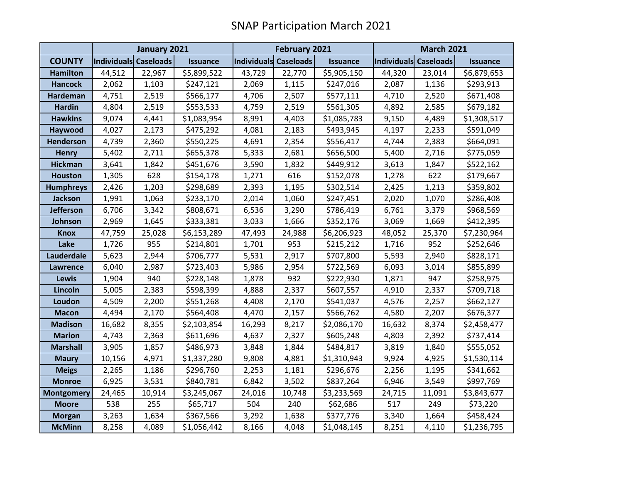|                   | January 2021          |        |                 | February 2021                |        |                 | <b>March 2021</b>            |        |                 |
|-------------------|-----------------------|--------|-----------------|------------------------------|--------|-----------------|------------------------------|--------|-----------------|
| <b>COUNTY</b>     | Individuals Caseloads |        | <b>Issuance</b> | <b>Individuals Caseloads</b> |        | <b>Issuance</b> | <b>Individuals Caseloads</b> |        | <b>Issuance</b> |
| <b>Hamilton</b>   | 44,512                | 22,967 | \$5,899,522     | 43,729                       | 22,770 | \$5,905,150     | 44,320                       | 23,014 | \$6,879,653     |
| <b>Hancock</b>    | 2,062                 | 1,103  | \$247,121       | 2,069                        | 1,115  | \$247,016       | 2,087                        | 1,136  | \$293,913       |
| Hardeman          | 4,751                 | 2,519  | \$566,177       | 4,706                        | 2,507  | \$577,111       | 4,710                        | 2,520  | \$671,408       |
| <b>Hardin</b>     | 4,804                 | 2,519  | \$553,533       | 4,759                        | 2,519  | \$561,305       | 4,892                        | 2,585  | \$679,182       |
| <b>Hawkins</b>    | 9,074                 | 4,441  | \$1,083,954     | 8,991                        | 4,403  | \$1,085,783     | 9,150                        | 4,489  | \$1,308,517     |
| Haywood           | 4,027                 | 2,173  | \$475,292       | 4,081                        | 2,183  | \$493,945       | 4,197                        | 2,233  | \$591,049       |
| <b>Henderson</b>  | 4,739                 | 2,360  | \$550,225       | 4,691                        | 2,354  | \$556,417       | 4,744                        | 2,383  | \$664,091       |
| <b>Henry</b>      | 5,402                 | 2,711  | \$655,378       | 5,333                        | 2,681  | \$656,500       | 5,400                        | 2,716  | \$775,059       |
| <b>Hickman</b>    | 3,641                 | 1,842  | \$451,676       | 3,590                        | 1,832  | \$449,912       | 3,613                        | 1,847  | \$522,162       |
| <b>Houston</b>    | 1,305                 | 628    | \$154,178       | 1,271                        | 616    | \$152,078       | 1,278                        | 622    | \$179,667       |
| <b>Humphreys</b>  | 2,426                 | 1,203  | \$298,689       | 2,393                        | 1,195  | \$302,514       | 2,425                        | 1,213  | \$359,802       |
| Jackson           | 1,991                 | 1,063  | \$233,170       | 2,014                        | 1,060  | \$247,451       | 2,020                        | 1,070  | \$286,408       |
| <b>Jefferson</b>  | 6,706                 | 3,342  | \$808,671       | 6,536                        | 3,290  | \$786,419       | 6,761                        | 3,379  | \$968,569       |
| Johnson           | 2,969                 | 1,645  | \$333,381       | 3,033                        | 1,666  | \$352,176       | 3,069                        | 1,669  | \$412,395       |
| <b>Knox</b>       | 47,759                | 25,028 | \$6,153,289     | 47,493                       | 24,988 | \$6,206,923     | 48,052                       | 25,370 | \$7,230,964     |
| Lake              | 1,726                 | 955    | \$214,801       | 1,701                        | 953    | \$215,212       | 1,716                        | 952    | \$252,646       |
| Lauderdale        | 5,623                 | 2,944  | \$706,777       | 5,531                        | 2,917  | \$707,800       | 5,593                        | 2,940  | \$828,171       |
| <b>Lawrence</b>   | 6,040                 | 2,987  | \$723,403       | 5,986                        | 2,954  | \$722,569       | 6,093                        | 3,014  | \$855,899       |
| Lewis             | 1,904                 | 940    | \$228,148       | 1,878                        | 932    | \$222,930       | 1,871                        | 947    | \$258,975       |
| Lincoln           | 5,005                 | 2,383  | \$598,399       | 4,888                        | 2,337  | \$607,557       | 4,910                        | 2,337  | \$709,718       |
| Loudon            | 4,509                 | 2,200  | \$551,268       | 4,408                        | 2,170  | \$541,037       | 4,576                        | 2,257  | \$662,127       |
| <b>Macon</b>      | 4,494                 | 2,170  | \$564,408       | 4,470                        | 2,157  | \$566,762       | 4,580                        | 2,207  | \$676,377       |
| <b>Madison</b>    | 16,682                | 8,355  | \$2,103,854     | 16,293                       | 8,217  | \$2,086,170     | 16,632                       | 8,374  | \$2,458,477     |
| <b>Marion</b>     | 4,743                 | 2,363  | \$611,696       | 4,637                        | 2,327  | \$605,248       | 4,803                        | 2,392  | \$737,414       |
| <b>Marshall</b>   | 3,905                 | 1,857  | \$486,973       | 3,848                        | 1,844  | \$484,817       | 3,819                        | 1,840  | \$555,052       |
| <b>Maury</b>      | 10,156                | 4,971  | \$1,337,280     | 9,808                        | 4,881  | \$1,310,943     | 9,924                        | 4,925  | \$1,530,114     |
| <b>Meigs</b>      | 2,265                 | 1,186  | \$296,760       | 2,253                        | 1,181  | \$296,676       | 2,256                        | 1,195  | \$341,662       |
| <b>Monroe</b>     | 6,925                 | 3,531  | \$840,781       | 6,842                        | 3,502  | \$837,264       | 6,946                        | 3,549  | \$997,769       |
| <b>Montgomery</b> | 24,465                | 10,914 | \$3,245,067     | 24,016                       | 10,748 | \$3,233,569     | 24,715                       | 11,091 | \$3,843,677     |
| <b>Moore</b>      | 538                   | 255    | \$65,717        | 504                          | 240    | \$62,686        | 517                          | 249    | \$73,220        |
| <b>Morgan</b>     | 3,263                 | 1,634  | \$367,566       | 3,292                        | 1,638  | \$377,776       | 3,340                        | 1,664  | \$458,424       |
| <b>McMinn</b>     | 8,258                 | 4,089  | \$1,056,442     | 8,166                        | 4,048  | \$1,048,145     | 8,251                        | 4,110  | \$1,236,795     |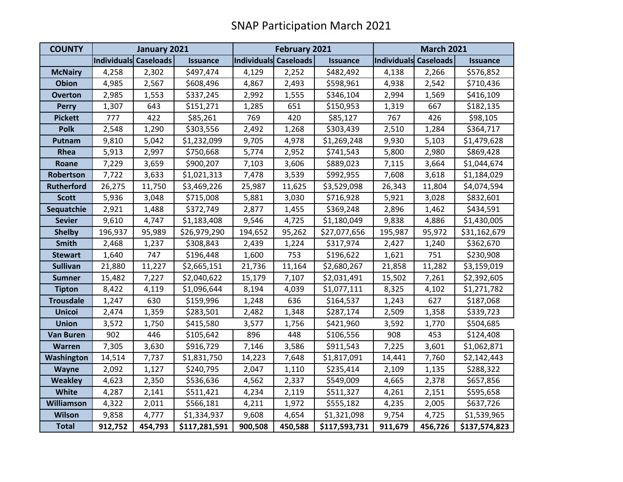| <b>COUNTY</b>     | January 2021          |         |                 | <b>February 2021</b>  |         |                 | <b>March 2021</b>     |         |                 |
|-------------------|-----------------------|---------|-----------------|-----------------------|---------|-----------------|-----------------------|---------|-----------------|
|                   | Individuals Caseloads |         | <b>Issuance</b> | Individuals Caseloads |         | <b>Issuance</b> | Individuals Caseloads |         | <b>Issuance</b> |
| <b>McNairy</b>    | 4,258                 | 2,302   | \$497,474       | 4,129                 | 2,252   | \$482,492       | 4,138                 | 2,266   | \$576,852       |
| <b>Obion</b>      | 4,985                 | 2,567   | \$608,496       | 4,867                 | 2,493   | \$598,961       | 4,938                 | 2,542   | \$710,436       |
| <b>Overton</b>    | 2,985                 | 1,553   | \$337,245       | 2,992                 | 1,555   | \$346,104       | 2,994                 | 1,569   | \$416,109       |
| <b>Perry</b>      | 1,307                 | 643     | \$151,271       | 1,285                 | 651     | \$150,953       | 1,319                 | 667     | \$182,135       |
| <b>Pickett</b>    | 777                   | 422     | \$85,261        | 769                   | 420     | \$85,127        | 767                   | 426     | \$98,105        |
| <b>Polk</b>       | 2,548                 | 1,290   | \$303,556       | 2,492                 | 1,268   | \$303,439       | 2,510                 | 1,284   | \$364,717       |
| Putnam            | 9,810                 | 5,042   | \$1,232,099     | 9,705                 | 4,978   | \$1,269,248     | 9,930                 | 5,103   | \$1,479,628     |
| Rhea              | 5,913                 | 2,997   | \$750,668       | 5,774                 | 2,952   | \$741,543       | 5,800                 | 2,980   | \$869,428       |
| Roane             | 7,229                 | 3,659   | \$900,207       | 7,103                 | 3,606   | \$889,023       | 7,115                 | 3,664   | \$1,044,674     |
| Robertson         | 7,722                 | 3,633   | \$1,021,313     | 7,478                 | 3,539   | \$992,955       | 7,608                 | 3,618   | \$1,184,029     |
| <b>Rutherford</b> | 26,275                | 11,750  | \$3,469,226     | 25,987                | 11,625  | \$3,529,098     | 26,343                | 11,804  | \$4,074,594     |
| <b>Scott</b>      | 5,936                 | 3,048   | \$715,008       | 5,881                 | 3,030   | \$716,928       | 5,921                 | 3,028   | \$832,601       |
| Sequatchie        | 2,921                 | 1,488   | \$372,749       | 2,877                 | 1,455   | \$369,248       | 2,896                 | 1,462   | \$434,591       |
| <b>Sevier</b>     | 9,610                 | 4,747   | \$1,183,408     | 9,546                 | 4,725   | \$1,180,049     | 9,838                 | 4,886   | \$1,430,005     |
| <b>Shelby</b>     | 196,937               | 95,989  | \$26,979,290    | 194,652               | 95,262  | \$27,077,656    | 195,987               | 95,972  | \$31,162,679    |
| <b>Smith</b>      | 2,468                 | 1,237   | \$308,843       | 2,439                 | 1,224   | \$317,974       | 2,427                 | 1,240   | \$362,670       |
| <b>Stewart</b>    | 1,640                 | 747     | \$196,448       | 1,600                 | 753     | \$196,622       | 1,621                 | 751     | \$230,908       |
| <b>Sullivan</b>   | 21,880                | 11,227  | \$2,665,151     | 21,736                | 11,164  | \$2,680,267     | 21,858                | 11,282  | \$3,159,019     |
| <b>Sumner</b>     | 15,482                | 7,227   | \$2,040,622     | 15,179                | 7,107   | \$2,031,491     | 15,502                | 7,261   | \$2,392,605     |
| <b>Tipton</b>     | 8,422                 | 4,119   | \$1,096,644     | 8,194                 | 4,039   | \$1,077,111     | 8,325                 | 4,102   | \$1,271,782     |
| <b>Trousdale</b>  | 1,247                 | 630     | \$159,996       | 1,248                 | 636     | \$164,537       | 1,243                 | 627     | \$187,068       |
| <b>Unicoi</b>     | 2,474                 | 1,359   | \$283,501       | 2,482                 | 1,348   | \$287,174       | 2,509                 | 1,358   | \$339,723       |
| <b>Union</b>      | 3,572                 | 1,750   | \$415,580       | 3,577                 | 1,756   | \$421,960       | 3,592                 | 1,770   | \$504,685       |
| <b>Van Buren</b>  | 902                   | 446     | \$105,642       | 896                   | 448     | \$106,556       | 908                   | 453     | \$124,408       |
| Warren            | 7,305                 | 3,630   | \$916,729       | 7,146                 | 3,586   | \$911,543       | 7,225                 | 3,601   | \$1,062,871     |
| Washington        | 14,514                | 7,737   | \$1,831,750     | 14,223                | 7,648   | \$1,817,091     | 14,441                | 7,760   | \$2,142,443     |
| Wayne             | 2,092                 | 1,127   | \$240,795       | 2,047                 | 1,110   | \$235,414       | 2,109                 | 1,135   | \$288,322       |
| <b>Weakley</b>    | 4,623                 | 2,350   | \$536,636       | 4,562                 | 2,337   | \$549,009       | 4,665                 | 2,378   | \$657,856       |
| <b>White</b>      | 4,287                 | 2,141   | \$511,421       | 4,234                 | 2,119   | \$511,327       | 4,261                 | 2,151   | \$595,658       |
| <b>Williamson</b> | 4,322                 | 2,011   | \$566,181       | 4,211                 | 1,972   | \$555,182       | 4,235                 | 2,005   | \$637,726       |
| <b>Wilson</b>     | 9,858                 | 4,777   | \$1,334,937     | 9,608                 | 4,654   | \$1,321,098     | 9,754                 | 4,725   | \$1,539,965     |
| <b>Total</b>      | 912,752               | 454,793 | \$117,281,591   | 900,508               | 450,588 | \$117,593,731   | 911,679               | 456,726 | \$137,574,823   |